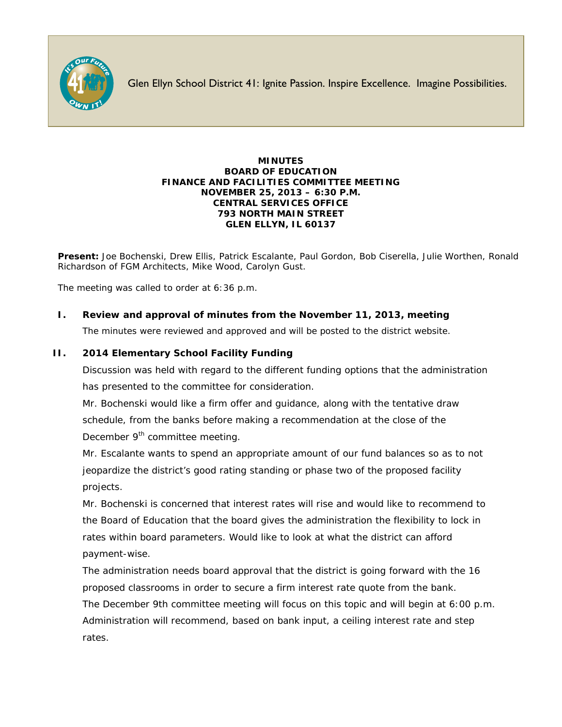

Glen Ellyn School District 41: Ignite Passion. Inspire Excellence. Imagine Possibilities.

#### **MINUTES BOARD OF EDUCATION FINANCE AND FACILITIES COMMITTEE MEETING NOVEMBER 25, 2013 – 6:30 P.M. CENTRAL SERVICES OFFICE 793 NORTH MAIN STREET GLEN ELLYN, IL 60137**

**Present:** Joe Bochenski, Drew Ellis, Patrick Escalante, Paul Gordon, Bob Ciserella, Julie Worthen, Ronald Richardson of FGM Architects, Mike Wood, Carolyn Gust.

The meeting was called to order at 6:36 p.m.

## **I. Review and approval of minutes from the November 11, 2013, meeting**

The minutes were reviewed and approved and will be posted to the district website.

## **II. 2014 Elementary School Facility Funding**

Discussion was held with regard to the different funding options that the administration has presented to the committee for consideration.

Mr. Bochenski would like a firm offer and guidance, along with the tentative draw schedule, from the banks before making a recommendation at the close of the December 9<sup>th</sup> committee meeting.

Mr. Escalante wants to spend an appropriate amount of our fund balances so as to not jeopardize the district's good rating standing or phase two of the proposed facility projects.

Mr. Bochenski is concerned that interest rates will rise and would like to recommend to the Board of Education that the board gives the administration the flexibility to lock in rates within board parameters. Would like to look at what the district can afford payment-wise.

The administration needs board approval that the district is going forward with the 16 proposed classrooms in order to secure a firm interest rate quote from the bank.

The December 9th committee meeting will focus on this topic and will begin at 6:00 p.m. Administration will recommend, based on bank input, a ceiling interest rate and step rates.